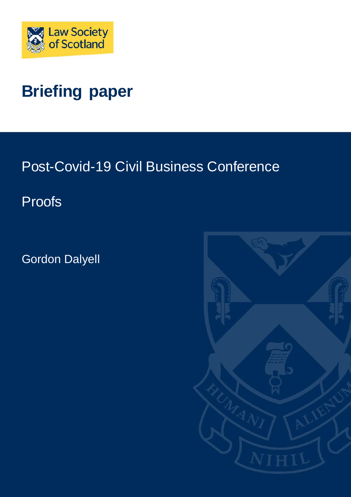

# **Briefing paper**

Post-Covid-19 Civil Business Conference

Proofs

Gordon Dalyell

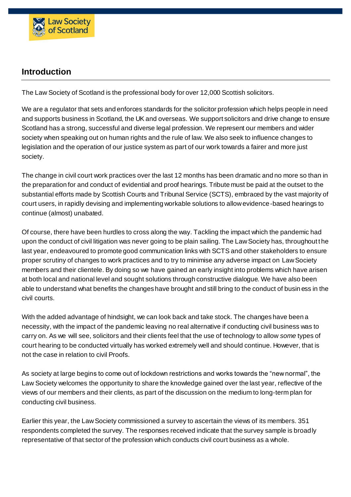

## **Introduction**

The Law Society of Scotland is the professional body for over 12,000 Scottish solicitors.

We are a regulator that sets and enforces standards for the solicitor profession which helps people in need and supports business in Scotland, the UK and overseas. We support solicitors and drive change to ensure Scotland has a strong, successful and diverse legal profession. We represent our members and wider society when speaking out on human rights and the rule of law. We also seek to influence changes to legislation and the operation of our justice system as part of our work towards a fairer and more just society.

The change in civil court work practices over the last 12 months has been dramatic and no more so than in the preparation for and conduct of evidential and proof hearings. Tribute must be paid at the outset to the substantial efforts made by Scottish Courts and Tribunal Service (SCTS), embraced by the vast majority of court users, in rapidly devising and implementing workable solutions to allow evidence-based hearings to continue (almost) unabated.

Of course, there have been hurdles to cross along the way. Tackling the impact which the pandemic had upon the conduct of civil litigation was never going to be plain sailing. The Law Society has, throughout t he last year, endeavoured to promote good communication links with SCTS and other stakeholders to ensure proper scrutiny of changes to work practices and to try to minimise any adverse impact on Law Society members and their clientele. By doing so we have gained an early insight into problems which have arisen at both local and national level and sought solutions through constructive dialogue. We have also been able to understand what benefits the changes have brought and still bring to the conduct of busin ess in the civil courts.

With the added advantage of hindsight, we can look back and take stock. The changes have been a necessity, with the impact of the pandemic leaving no real alternative if conducting civil business was to carry on. As we will see, solicitors and their clients feel that the use of technology to allow *some* types of court hearing to be conducted virtually has worked extremely well and should continue. However, that is not the case in relation to civil Proofs.

As society at large begins to come out of lockdown restrictions and works towards the "new normal", the Law Society welcomes the opportunity to share the knowledge gained over the last year, reflective of the views of our members and their clients, as part of the discussion on the medium to long-term plan for conducting civil business.

Earlier this year, the Law Society commissioned a survey to ascertain the views of its members. 351 respondents completed the survey. The responses received indicate that the survey sample is broadly representative of that sector of the profession which conducts civil court business as a whole.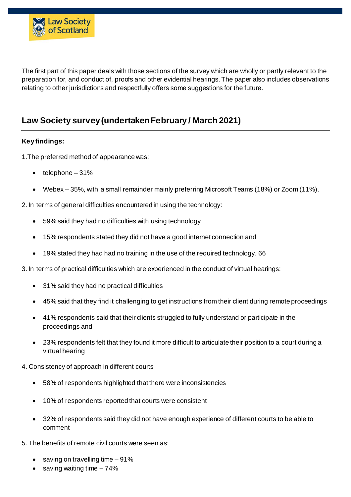

The first part of this paper deals with those sections of the survey which are wholly or partly relevant to the preparation for, and conduct of, proofs and other evidential hearings. The paper also includes observations relating to other jurisdictions and respectfully offers some suggestions for the future.

# **Law Society survey (undertaken February / March 2021)**

#### **Key findings:**

- 1.The preferred method of appearance was:
	- telephone 31%
	- Webex 35%, with a small remainder mainly preferring Microsoft Teams (18%) or Zoom (11%).
- 2. In terms of general difficulties encountered in using the technology:
	- 59% said they had no difficulties with using technology
	- 15% respondents stated they did not have a good internet connection and
	- 19% stated they had had no training in the use of the required technology. 66
- 3. In terms of practical difficulties which are experienced in the conduct of virtual hearings:
	- 31% said they had no practical difficulties
	- 45% said that they find it challenging to get instructions from their client during remote proceedings
	- 41% respondents said that their clients struggled to fully understand or participate in the proceedings and
	- 23% respondents felt that they found it more difficult to articulate their position to a court during a virtual hearing
- 4. Consistency of approach in different courts
	- 58% of respondents highlighted that there were inconsistencies
	- 10% of respondents reported that courts were consistent
	- 32% of respondents said they did not have enough experience of different courts to be able to comment
- 5. The benefits of remote civil courts were seen as:
	- saving on travelling time 91%
	- $\bullet$  saving waiting time  $-74\%$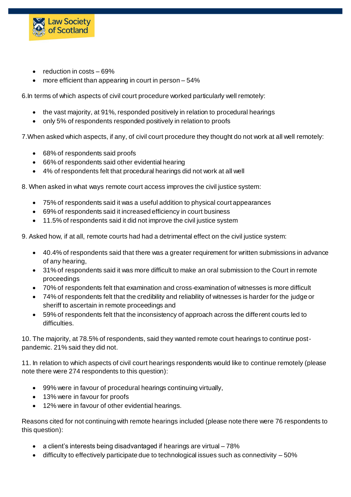

- reduction in costs 69%
- more efficient than appearing in court in person 54%

6.In terms of which aspects of civil court procedure worked particularly well remotely:

- the vast majority, at 91%, responded positively in relation to procedural hearings
- only 5% of respondents responded positively in relation to proofs

7.When asked which aspects, if any, of civil court procedure they thought do not work at all well remotely:

- 68% of respondents said proofs
- 66% of respondents said other evidential hearing
- 4% of respondents felt that procedural hearings did not work at all well
- 8. When asked in what ways remote court access improves the civil justice system:
	- 75% of respondents said it was a useful addition to physical court appearances
	- 69% of respondents said it increased efficiency in court business
	- 11.5% of respondents said it did not improve the civil justice system
- 9. Asked how, if at all, remote courts had had a detrimental effect on the civil justice system:
	- 40.4% of respondents said that there was a greater requirement for written submissions in advance of any hearing,
	- 31% of respondents said it was more difficult to make an oral submission to the Court in remote proceedings
	- 70% of respondents felt that examination and cross-examination of witnesses is more difficult
	- 74% of respondents felt that the credibility and reliability of witnesses is harder for the judge or sheriff to ascertain in remote proceedings and
	- 59% of respondents felt that the inconsistency of approach across the different courts led to difficulties.

10. The majority, at 78.5% of respondents, said they wanted remote court hearings to continue postpandemic. 21% said they did not.

11. In relation to which aspects of civil court hearings respondents would like to continue remotely (please note there were 274 respondents to this question):

- 99% were in favour of procedural hearings continuing virtually,
- 13% were in favour for proofs
- 12% were in favour of other evidential hearings.

Reasons cited for not continuing with remote hearings included (please note there were 76 respondents to this question):

- a client's interests being disadvantaged if hearings are virtual 78%
- $\bullet$  difficulty to effectively participate due to technological issues such as connectivity  $-50\%$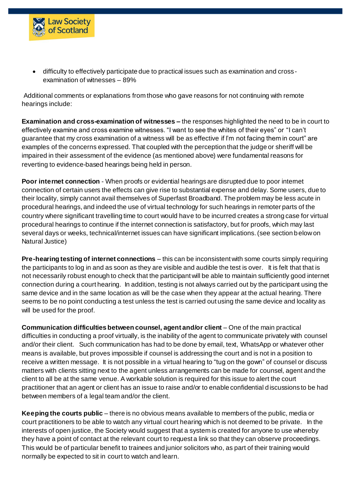

 difficulty to effectively participate due to practical issues such as examination and crossexamination of witnesses – 89%

Additional comments or explanations from those who gave reasons for not continuing with remote hearings include:

**Examination and cross-examination of witnesses –** the responses highlighted the need to be in court to effectively examine and cross examine witnesses. "I want to see the whites of their eyes" or "I can't guarantee that my cross examination of a witness will be as effective if I'm not facing them in court" are examples of the concerns expressed. That coupled with the perception that the judge or sheriff will be impaired in their assessment of the evidence (as mentioned above) were fundamental reasons for reverting to evidence-based hearings being held in person.

**Poor internet connection** - When proofs or evidential hearings are disrupted due to poor internet connection of certain users the effects can give rise to substantial expense and delay. Some users, due to their locality, simply cannot avail themselves of Superfast Broadband. The problem may be less acute in procedural hearings, and indeed the use of virtual technology for such hearings in remoter parts of the country where significant travelling time to court would have to be incurred creates a strong case for virtual procedural hearings to continue if the internet connection is satisfactory, but for proofs, which may last several days or weeks, technical/internet issues can have significant implications. (see section below on Natural Justice)

**Pre-hearing testing of internet connections** – this can be inconsistent with some courts simply requiring the participants to log in and as soon as they are visible and audible the test is over. It is felt that that is not necessarily robust enough to check that the participant will be able to maintain sufficiently good internet connection during a court hearing. In addition, testing is not always carried out by the participant using the same device and in the same location as will be the case when they appear at the actual hearing. There seems to be no point conducting a test unless the test is carried out using the same device and locality as will be used for the proof.

**Communication difficulties between counsel, agent and/or client** – One of the main practical difficulties in conducting a proof virtually, is the inability of the agent to communicate privately with counsel and/or their client. Such communication has had to be done by email, text, WhatsApp or whatever other means is available, but proves impossible if counsel is addressing the court and is not in a position to receive a written message. It is not possible in a virtual hearing to "tug on the gown" of counsel or discuss matters with clients sitting next to the agent unless arrangements can be made for counsel, agent and the client to all be at the same venue. A workable solution is required for this issue to alert the court practitioner that an agent or client has an issue to raise and/or to enable confidential discussions to be had between members of a legal team and/or the client.

**Keeping the courts public** – there is no obvious means available to members of the public, media or court practitioners to be able to watch any virtual court hearing which is not deemed to be private. In the interests of open justice, the Society would suggest that a system is created for anyone to use whereby they have a point of contact at the relevant court to request a link so that they can observe proceedings. This would be of particular benefit to trainees and junior solicitors who, as part of their training would normally be expected to sit in court to watch and learn.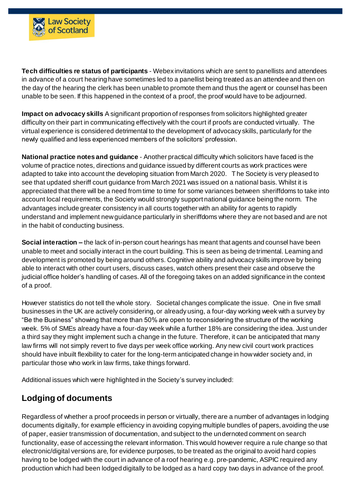

**Tech difficulties re status of participants** - Webex invitations which are sent to panellists and attendees in advance of a court hearing have sometimes led to a panellist being treated as an attendee and then on the day of the hearing the clerk has been unable to promote them and thus the agent or counsel has been unable to be seen. If this happened in the context of a proof, the proof would have to be adjourned.

**Impact on advocacy skills** A significant proportion of responses from solicitors highlighted greater difficulty on their part in communicating effectively with the court if proofs are conducted virtually. The virtual experience is considered detrimental to the development of advocacy skills, particularly for the newly qualified and less experienced members of the solicitors' profession.

**National practice notes and guidance** - Another practical difficulty which solicitors have faced is the volume of practice notes, directions and guidance issued by different courts as work practices were adapted to take into account the developing situation from March 2020. The Society is very pleased to see that updated sheriff court guidance from March 2021 was issued on a national basis. Whilst it is appreciated that there will be a need from time to time for some variances between sheriffdoms to take into account local requirements, the Society would strongly support national guidance being the norm. The advantages include greater consistency in all courts together with an ability for agents to rapidly understand and implement new guidance particularly in sheriffdoms where they are not based and are not in the habit of conducting business.

**Social interaction –** the lack of in-person court hearings has meant that agents and counsel have been unable to meet and socially interact in the court building. This is seen as being detrimental. Learning and development is promoted by being around others. Cognitive ability and advocacy skills improve by being able to interact with other court users, discuss cases, watch others present their case and observe the judicial office holder's handling of cases. All of the foregoing takes on an added significance in the context of a proof.

However statistics do not tell the whole story. Societal changes complicate the issue. One in five small businesses in the UK are actively considering, or already using, a four-day working week with a survey by "Be the Business" showing that more than 50% are open to reconsidering the structure of the working week. 5% of SMEs already have a four-day week while a further 18% are considering the idea. Just under a third say they might implement such a change in the future. Therefore, it can be anticipated that many law firms will not simply revert to five days per week office working. Any new civil court work practices should have inbuilt flexibility to cater for the long-term anticipated change in how wider society and, in particular those who work in law firms, take things forward.

Additional issues which were highlighted in the Society's survey included:

#### **Lodging of documents**

Regardless of whether a proof proceeds in person or virtually, there are a number of advantages in lodging documents digitally, for example efficiency in avoiding copying multiple bundles of papers, avoiding the use of paper, easier transmission of documentation, and subject to the undernoted comment on search functionality, ease of accessing the relevant information. This would however require a rule change so that electronic/digital versions are, for evidence purposes, to be treated as the original to avoid hard copies having to be lodged with the court in advance of a roof hearing e.g. pre-pandemic, ASPIC required any production which had been lodged digitally to be lodged as a hard copy two days in advance of the proof.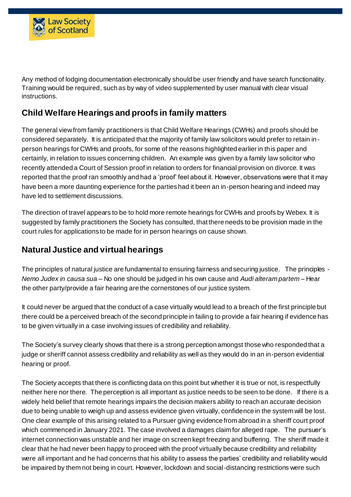

Any method of lodging documentation electronically should be user friendly and have search functionality. Training would be required, such as by way of video supplemented by user manual with clear visual instructions.

## **Child Welfare Hearings and proofs in family matters**

The general view from family practitioners is that Child Welfare Hearings (CWHs) and proofs should be considered separately. It is anticipated that the majority of family law solicitors would prefer to retain inperson hearings for CWHs and proofs, for some of the reasons highlighted earlier in this paper and certainly, in relation to issues concerning children. An example was given by a family law solicitor who recently attended a Court of Session proof in relation to orders for financial provision on divorce. It was reported that the proof ran smoothly and had a 'proof' feel about it. However, observations were that it may have been a more daunting experience for the parties had it been an in-person hearing and indeed may have led to settlement discussions.

The direction of travel appears to be to hold more remote hearings for CWHs and proofs by Webex. It is suggested by family practitioners the Society has consulted, that there needs to be provision made in the court rules for applications to be made for in person hearings on cause shown.

# **Natural Justice and virtual hearings**

The principles of natural justice are fundamental to ensuring fairness and securing justice. The principles - *Nemo Judex in causa sua* – No one should be judged in his own cause and *Audi alteram partem –* Hear the other party/provide a fair hearing are the cornerstones of our justice system.

It could never be argued that the conduct of a case virtually would lead to a breach of the first principle but there could be a perceived breach of the second principle in failing to provide a fair hearing if evidence has to be given virtually in a case involving issues of credibility and reliability.

The Society's survey clearly shows that there is a strong perception amongst those who responded that a judge or sheriff cannot assess credibility and reliability as well as they would do in an in-person evidential hearing or proof.

The Society accepts that there is conflicting data on this point but whether it is true or not, is respectfully neither here nor there. The perception is all important as justice needs to be seen to be done. If there is a widely held belief that remote hearings impairs the decision makers ability to reach an accurate decision due to being unable to weigh up and assess evidence given virtually, confidence in the system will be lost. One clear example of this arising related to a Pursuer giving evidence from abroad in a sheriff court proof which commenced in January 2021. The case involved a damages claim for alleged rape. The pursuer's internet connection was unstable and her image on screen kept freezing and buffering. The sheriff made it clear that he had never been happy to proceed with the proof virtually because credibility and reliability were all important and he had concerns that his ability to assess the parties' credibility and reliability would be impaired by them not being in court. However, lockdown and social-distancing restrictions were such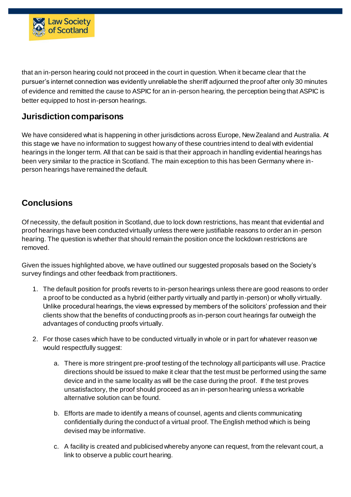

that an in-person hearing could not proceed in the court in question. When it became clear that the pursuer's internet connection was evidently unreliable the sheriff adjourned the proof after only 30 minutes of evidence and remitted the cause to ASPIC for an in-person hearing, the perception being that ASPIC is better equipped to host in-person hearings.

#### **Jurisdiction comparisons**

We have considered what is happening in other jurisdictions across Europe, New Zealand and Australia. At this stage we have no information to suggest how any of these countries intend to deal with evidential hearings in the longer term. All that can be said is that their approach in handling evidential hearings has been very similar to the practice in Scotland. The main exception to this has been Germany where inperson hearings have remained the default.

# **Conclusions**

Of necessity, the default position in Scotland, due to lock down restrictions, has meant that evidential and proof hearings have been conducted virtually unless there were justifiable reasons to order an in -person hearing. The question is whether that should remain the position once the lockdown restrictions are removed.

Given the issues highlighted above, we have outlined our suggested proposals based on the Society's survey findings and other feedback from practitioners.

- 1. The default position for proofs reverts to in-person hearings unless there are good reasons to order a proof to be conducted as a hybrid (either partly virtually and partly in-person) or wholly virtually. Unlike procedural hearings, the views expressed by members of the solicitors' profession and their clients show that the benefits of conducting proofs as in-person court hearings far outweigh the advantages of conducting proofs virtually.
- 2. For those cases which have to be conducted virtually in whole or in part for whatever reason we would respectfully suggest:
	- a. There is more stringent pre-proof testing of the technology all participants will use. Practice directions should be issued to make it clear that the test must be performed using the same device and in the same locality as will be the case during the proof. If the test proves unsatisfactory, the proof should proceed as an in-person hearing unless a workable alternative solution can be found.
	- b. Efforts are made to identify a means of counsel, agents and clients communicating confidentially during the conduct of a virtual proof. The English method which is being devised may be informative.
	- c. A facility is created and publicised whereby anyone can request, from the relevant court, a link to observe a public court hearing.